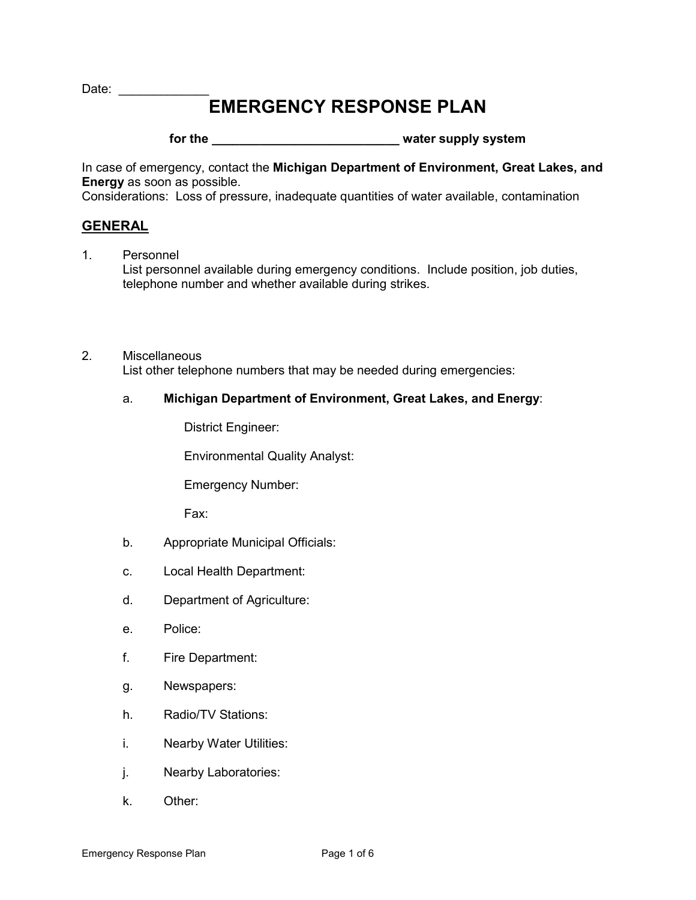Date: \_\_\_\_\_\_\_\_\_\_\_\_\_

# **EMERGENCY RESPONSE PLAN**

# for the **for the state of the state of the state of the state of the state of the state of the state of the state of the state of the state of the state of the state of the state of the state of the state of the state of t**

In case of emergency, contact the **Michigan Department of Environment, Great Lakes, and Energy** as soon as possible.

Considerations: Loss of pressure, inadequate quantities of water available, contamination

### **GENERAL**

- 1. Personnel List personnel available during emergency conditions. Include position, job duties, telephone number and whether available during strikes.
- 2. Miscellaneous List other telephone numbers that may be needed during emergencies:

### a. **Michigan Department of Environment, Great Lakes, and Energy**:

District Engineer:

Environmental Quality Analyst:

Emergency Number:

Fax:

- b. Appropriate Municipal Officials:
- c. Local Health Department:
- d. Department of Agriculture:
- e. Police:
- f. Fire Department:
- g. Newspapers:
- h. Radio/TV Stations:
- i. Nearby Water Utilities:
- j. Nearby Laboratories:
- k. Other: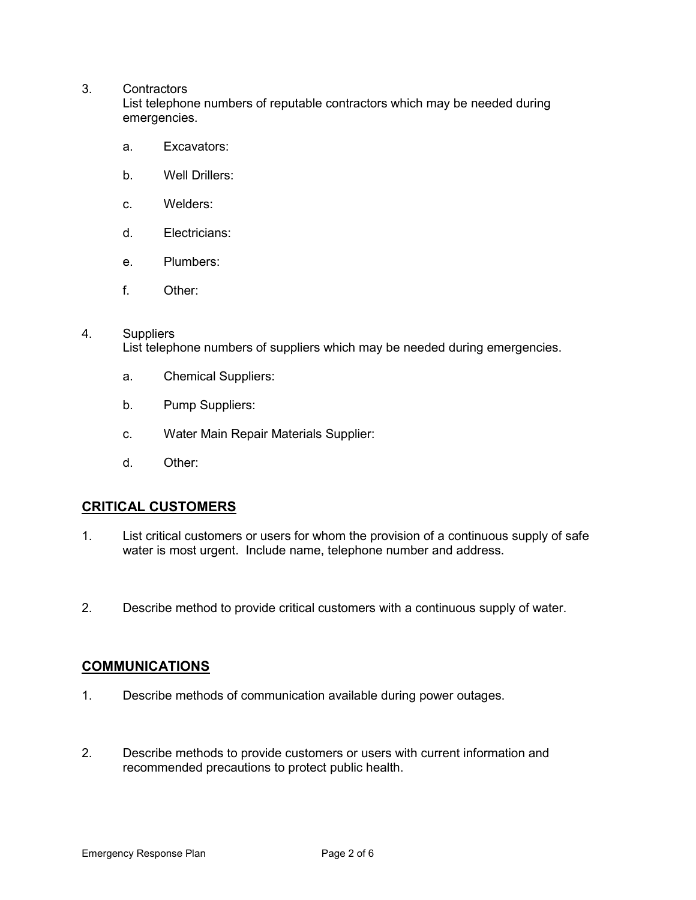#### 3. Contractors

List telephone numbers of reputable contractors which may be needed during emergencies.

- a. Excavators:
- b. Well Drillers:
- c. Welders:
- d. Electricians:
- e. Plumbers:
- f. Other:

#### 4. Suppliers

List telephone numbers of suppliers which may be needed during emergencies.

- a. Chemical Suppliers:
- b. Pump Suppliers:
- c. Water Main Repair Materials Supplier:
- d. Other:

### **CRITICAL CUSTOMERS**

- 1. List critical customers or users for whom the provision of a continuous supply of safe water is most urgent. Include name, telephone number and address.
- 2. Describe method to provide critical customers with a continuous supply of water.

### **COMMUNICATIONS**

- 1. Describe methods of communication available during power outages.
- 2. Describe methods to provide customers or users with current information and recommended precautions to protect public health.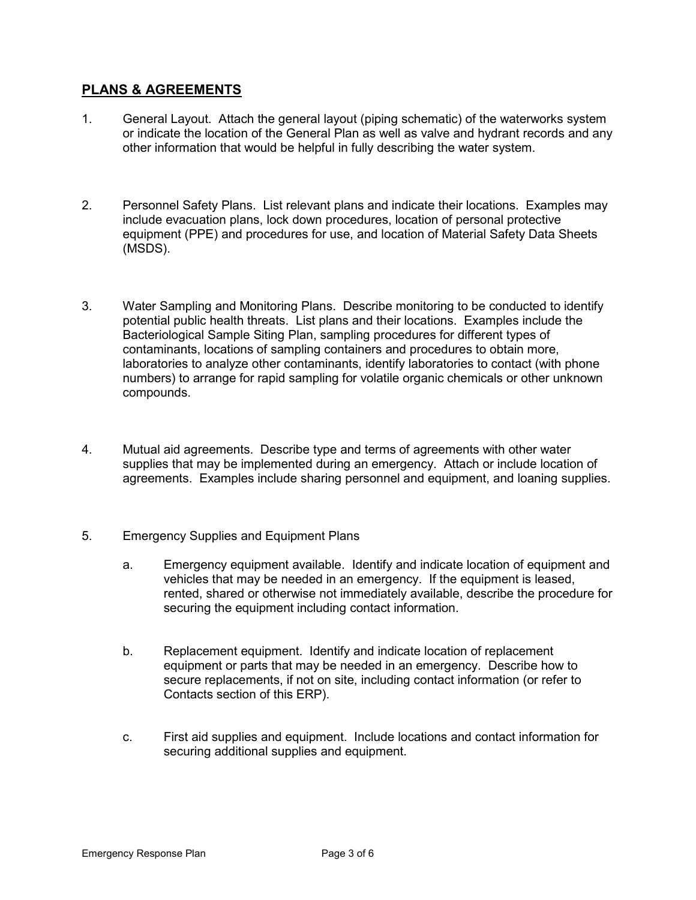### **PLANS & AGREEMENTS**

- 1. General Layout. Attach the general layout (piping schematic) of the waterworks system or indicate the location of the General Plan as well as valve and hydrant records and any other information that would be helpful in fully describing the water system.
- 2. Personnel Safety Plans. List relevant plans and indicate their locations. Examples may include evacuation plans, lock down procedures, location of personal protective equipment (PPE) and procedures for use, and location of Material Safety Data Sheets (MSDS).
- 3. Water Sampling and Monitoring Plans. Describe monitoring to be conducted to identify potential public health threats. List plans and their locations. Examples include the Bacteriological Sample Siting Plan, sampling procedures for different types of contaminants, locations of sampling containers and procedures to obtain more, laboratories to analyze other contaminants, identify laboratories to contact (with phone numbers) to arrange for rapid sampling for volatile organic chemicals or other unknown compounds.
- 4. Mutual aid agreements. Describe type and terms of agreements with other water supplies that may be implemented during an emergency. Attach or include location of agreements. Examples include sharing personnel and equipment, and loaning supplies.
- 5. Emergency Supplies and Equipment Plans
	- a. Emergency equipment available. Identify and indicate location of equipment and vehicles that may be needed in an emergency. If the equipment is leased, rented, shared or otherwise not immediately available, describe the procedure for securing the equipment including contact information.
	- b. Replacement equipment. Identify and indicate location of replacement equipment or parts that may be needed in an emergency. Describe how to secure replacements, if not on site, including contact information (or refer to Contacts section of this ERP).
	- c. First aid supplies and equipment. Include locations and contact information for securing additional supplies and equipment.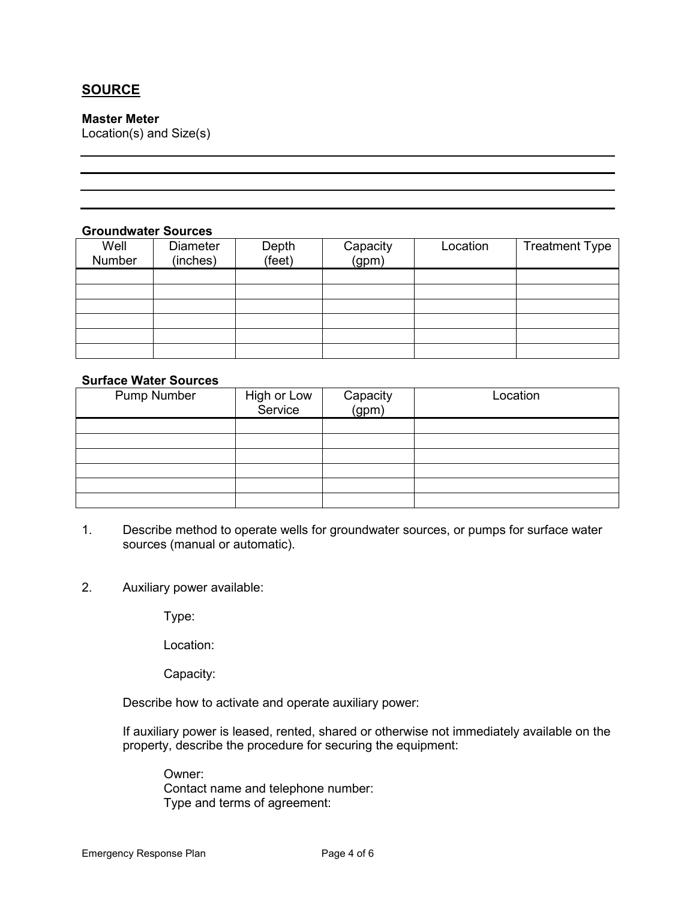# **SOURCE**

### **Master Meter**

Location(s) and Size(s)

### **Groundwater Sources**

| Well<br>Number | <b>Diameter</b><br>(inches) | Depth<br>(feet) | Capacity<br>(gpm) | Location | <b>Treatment Type</b> |
|----------------|-----------------------------|-----------------|-------------------|----------|-----------------------|
|                |                             |                 |                   |          |                       |
|                |                             |                 |                   |          |                       |
|                |                             |                 |                   |          |                       |
|                |                             |                 |                   |          |                       |
|                |                             |                 |                   |          |                       |
|                |                             |                 |                   |          |                       |

### **Surface Water Sources**

| <b>Pump Number</b> | High or Low<br>Service | Capacity<br>(gpm) | Location |
|--------------------|------------------------|-------------------|----------|
|                    |                        |                   |          |
|                    |                        |                   |          |
|                    |                        |                   |          |
|                    |                        |                   |          |
|                    |                        |                   |          |
|                    |                        |                   |          |

- 1. Describe method to operate wells for groundwater sources, or pumps for surface water sources (manual or automatic).
- 2. Auxiliary power available:

Type:

Location:

Capacity:

Describe how to activate and operate auxiliary power:

If auxiliary power is leased, rented, shared or otherwise not immediately available on the property, describe the procedure for securing the equipment:

Owner: Contact name and telephone number: Type and terms of agreement: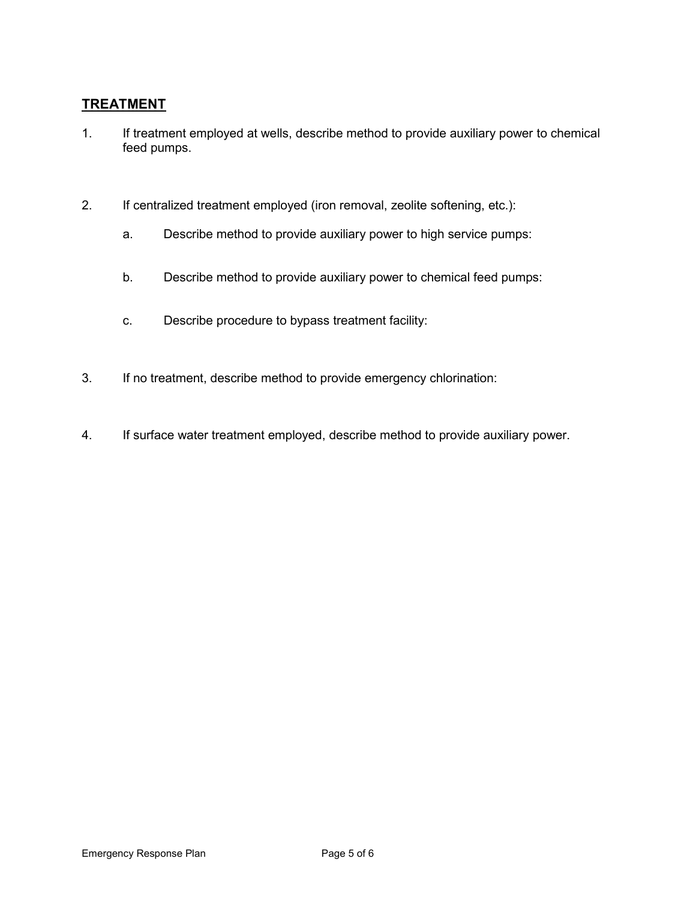### **TREATMENT**

- 1. If treatment employed at wells, describe method to provide auxiliary power to chemical feed pumps.
- 2. If centralized treatment employed (iron removal, zeolite softening, etc.):
	- a. Describe method to provide auxiliary power to high service pumps:
	- b. Describe method to provide auxiliary power to chemical feed pumps:
	- c. Describe procedure to bypass treatment facility:
- 3. If no treatment, describe method to provide emergency chlorination:
- 4. If surface water treatment employed, describe method to provide auxiliary power.